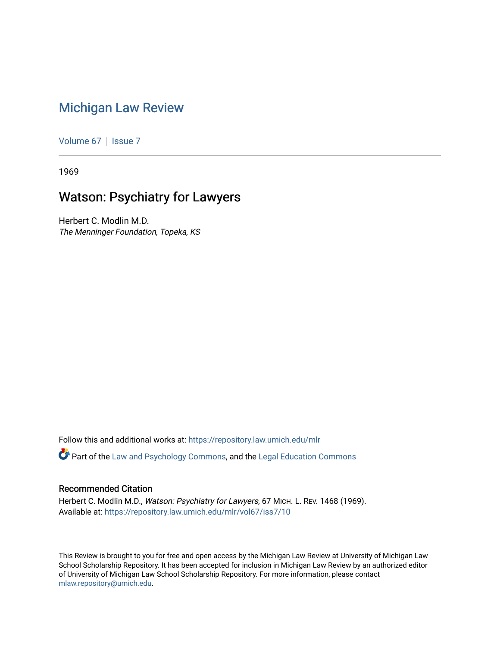## [Michigan Law Review](https://repository.law.umich.edu/mlr)

[Volume 67](https://repository.law.umich.edu/mlr/vol67) | [Issue 7](https://repository.law.umich.edu/mlr/vol67/iss7)

1969

## Watson: Psychiatry for Lawyers

Herbert C. Modlin M.D. The Menninger Foundation, Topeka, KS

Follow this and additional works at: [https://repository.law.umich.edu/mlr](https://repository.law.umich.edu/mlr?utm_source=repository.law.umich.edu%2Fmlr%2Fvol67%2Fiss7%2F10&utm_medium=PDF&utm_campaign=PDFCoverPages) 

Part of the [Law and Psychology Commons,](http://network.bepress.com/hgg/discipline/870?utm_source=repository.law.umich.edu%2Fmlr%2Fvol67%2Fiss7%2F10&utm_medium=PDF&utm_campaign=PDFCoverPages) and the [Legal Education Commons](http://network.bepress.com/hgg/discipline/857?utm_source=repository.law.umich.edu%2Fmlr%2Fvol67%2Fiss7%2F10&utm_medium=PDF&utm_campaign=PDFCoverPages)

## Recommended Citation

Herbert C. Modlin M.D., Watson: Psychiatry for Lawyers, 67 MICH. L. REV. 1468 (1969). Available at: [https://repository.law.umich.edu/mlr/vol67/iss7/10](https://repository.law.umich.edu/mlr/vol67/iss7/10?utm_source=repository.law.umich.edu%2Fmlr%2Fvol67%2Fiss7%2F10&utm_medium=PDF&utm_campaign=PDFCoverPages) 

This Review is brought to you for free and open access by the Michigan Law Review at University of Michigan Law School Scholarship Repository. It has been accepted for inclusion in Michigan Law Review by an authorized editor of University of Michigan Law School Scholarship Repository. For more information, please contact [mlaw.repository@umich.edu.](mailto:mlaw.repository@umich.edu)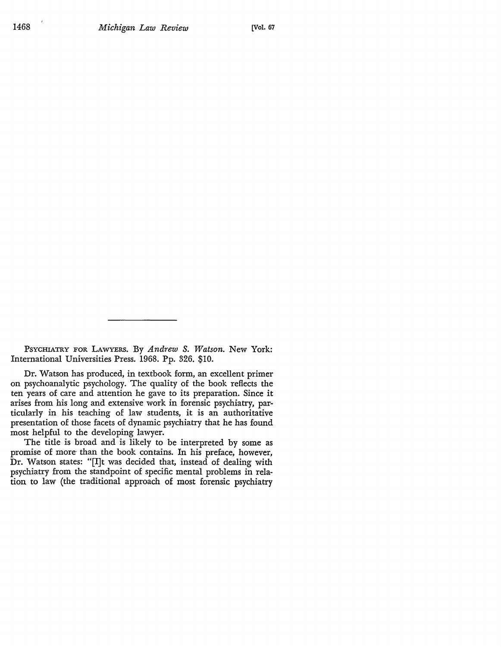PSYCHIATRY FOR LAWYERS. By *Andrew S. Watson.* New York: International Universities Press. 1968. Pp. 326. \$10.

Dr. Watson has produced, in textbook form, an excellent primer on psychoanalytic psychology. The quality of the book reflects the ten years of care and attention he gave to its preparation. Since it arises from his long and extensive work in forensic psychiatry, particularly in his teaching of law students, it is an authoritative presentation of those facets of dynamic psychiatry that he has found most helpful to the developing lawyer.

The title is broad and is likely to be interpreted by some as promise of more- than the book contains. In his preface, however, Dr. Watson states: "[I]t was decided that, instead of dealing with psychiatry from the standpoint of specific mental problems in relation to law (the traditional approach of most forensic psychiatry